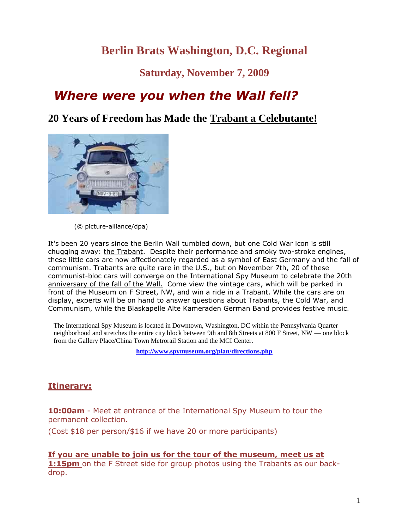# **Berlin Brats Washington, D.C. Regional**

**Saturday, November 7, 2009**

# *Where were you when the Wall fell?*

### **20 Years of Freedom has Made the Trabant a Celebutante!**



(© picture-alliance/dpa)

It's been 20 years since the Berlin Wall tumbled down, but one Cold War icon is still chugging away: the Trabant. Despite their performance and smoky two-stroke engines, these little cars are now affectionately regarded as a symbol of East Germany and the fall of communism. Trabants are quite rare in the U.S., but on November 7th, 20 of these communist-bloc cars will converge on the International Spy Museum to celebrate the 20th anniversary of the fall of the Wall. Come view the vintage cars, which will be parked in front of the Museum on F Street, NW, and win a ride in a Trabant. While the cars are on display, experts will be on hand to answer questions about Trabants, the Cold War, and Communism, while the Blaskapelle Alte Kameraden German Band provides festive music.

The International Spy Museum is located in Downtown, Washington, DC within the Pennsylvania Quarter neighborhood and stretches the entire city block between 9th and 8th Streets at 800 F Street, NW — one block from the Gallery Place/China Town Metrorail Station and the MCI Center.

**<http://www.spymuseum.org/plan/directions.php>**

#### **Itinerary:**

**10:00am** - Meet at entrance of the International Spy Museum to tour the permanent collection.

(Cost \$18 per person/\$16 if we have 20 or more participants)

# **If you are unable to join us for the tour of the museum, meet us at**

**1:15pm** on the F Street side for group photos using the Trabants as our backdrop.